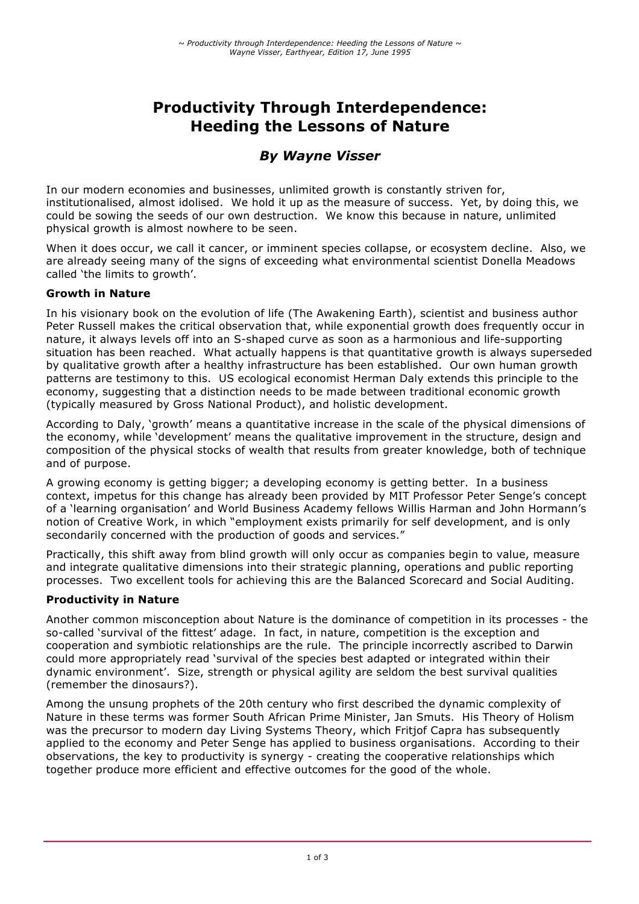# **Productivity Through Interdependence: Heeding the Lessons of Nature**

# *By Wayne Visser*

In our modern economies and businesses, unlimited growth is constantly striven for, institutionalised, almost idolised. We hold it up as the measure of success. Yet, by doing this, we could be sowing the seeds of our own destruction. We know this because in nature, unlimited physical growth is almost nowhere to be seen.

When it does occur, we call it cancer, or imminent species collapse, or ecosystem decline. Also, we are already seeing many of the signs of exceeding what environmental scientist Donella Meadows called 'the limits to growth'.

#### **Growth in Nature**

In his visionary book on the evolution of life (The Awakening Earth), scientist and business author Peter Russell makes the critical observation that, while exponential growth does frequently occur in nature, it always levels off into an S-shaped curve as soon as a harmonious and life-supporting situation has been reached. What actually happens is that quantitative growth is always superseded by qualitative growth after a healthy infrastructure has been established. Our own human growth patterns are testimony to this. US ecological economist Herman Daly extends this principle to the economy, suggesting that a distinction needs to be made between traditional economic growth (typically measured by Gross National Product), and holistic development.

According to Daly, 'growth' means a quantitative increase in the scale of the physical dimensions of the economy, while 'development' means the qualitative improvement in the structure, design and composition of the physical stocks of wealth that results from greater knowledge, both of technique and of purpose.

A growing economy is getting bigger; a developing economy is getting better. In a business context, impetus for this change has already been provided by MIT Professor Peter Senge's concept of a 'learning organisation' and World Business Academy fellows Willis Harman and John Hormann's notion of Creative Work, in which "employment exists primarily for self development, and is only secondarily concerned with the production of goods and services."

Practically, this shift away from blind growth will only occur as companies begin to value, measure and integrate qualitative dimensions into their strategic planning, operations and public reporting processes. Two excellent tools for achieving this are the Balanced Scorecard and Social Auditing.

#### **Productivity in Nature**

Another common misconception about Nature is the dominance of competition in its processes - the so-called 'survival of the fittest' adage. In fact, in nature, competition is the exception and cooperation and symbiotic relationships are the rule. The principle incorrectly ascribed to Darwin could more appropriately read 'survival of the species best adapted or integrated within their dynamic environment'. Size, strength or physical agility are seldom the best survival qualities (remember the dinosaurs?).

Among the unsung prophets of the 20th century who first described the dynamic complexity of Nature in these terms was former South African Prime Minister, Jan Smuts. His Theory of Holism was the precursor to modern day Living Systems Theory, which Fritjof Capra has subsequently applied to the economy and Peter Senge has applied to business organisations. According to their observations, the key to productivity is synergy - creating the cooperative relationships which together produce more efficient and effective outcomes for the good of the whole.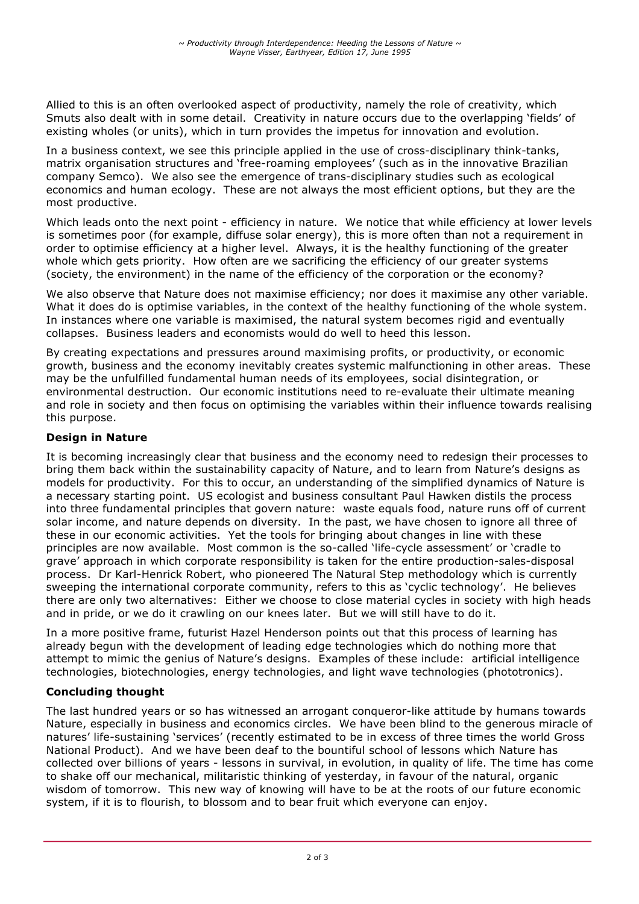Allied to this is an often overlooked aspect of productivity, namely the role of creativity, which Smuts also dealt with in some detail. Creativity in nature occurs due to the overlapping 'fields' of existing wholes (or units), which in turn provides the impetus for innovation and evolution.

In a business context, we see this principle applied in the use of cross-disciplinary think-tanks, matrix organisation structures and 'free-roaming employees' (such as in the innovative Brazilian company Semco). We also see the emergence of trans-disciplinary studies such as ecological economics and human ecology. These are not always the most efficient options, but they are the most productive.

Which leads onto the next point - efficiency in nature. We notice that while efficiency at lower levels is sometimes poor (for example, diffuse solar energy), this is more often than not a requirement in order to optimise efficiency at a higher level. Always, it is the healthy functioning of the greater whole which gets priority. How often are we sacrificing the efficiency of our greater systems (society, the environment) in the name of the efficiency of the corporation or the economy?

We also observe that Nature does not maximise efficiency; nor does it maximise any other variable. What it does do is optimise variables, in the context of the healthy functioning of the whole system. In instances where one variable is maximised, the natural system becomes rigid and eventually collapses. Business leaders and economists would do well to heed this lesson.

By creating expectations and pressures around maximising profits, or productivity, or economic growth, business and the economy inevitably creates systemic malfunctioning in other areas. These may be the unfulfilled fundamental human needs of its employees, social disintegration, or environmental destruction. Our economic institutions need to re-evaluate their ultimate meaning and role in society and then focus on optimising the variables within their influence towards realising this purpose.

## **Design in Nature**

It is becoming increasingly clear that business and the economy need to redesign their processes to bring them back within the sustainability capacity of Nature, and to learn from Nature's designs as models for productivity. For this to occur, an understanding of the simplified dynamics of Nature is a necessary starting point. US ecologist and business consultant Paul Hawken distils the process into three fundamental principles that govern nature: waste equals food, nature runs off of current solar income, and nature depends on diversity. In the past, we have chosen to ignore all three of these in our economic activities. Yet the tools for bringing about changes in line with these principles are now available. Most common is the so-called 'life-cycle assessment' or 'cradle to grave' approach in which corporate responsibility is taken for the entire production-sales-disposal process. Dr Karl-Henrick Robert, who pioneered The Natural Step methodology which is currently sweeping the international corporate community, refers to this as 'cyclic technology'. He believes there are only two alternatives: Either we choose to close material cycles in society with high heads and in pride, or we do it crawling on our knees later. But we will still have to do it.

In a more positive frame, futurist Hazel Henderson points out that this process of learning has already begun with the development of leading edge technologies which do nothing more that attempt to mimic the genius of Nature's designs. Examples of these include: artificial intelligence technologies, biotechnologies, energy technologies, and light wave technologies (phototronics).

## **Concluding thought**

The last hundred years or so has witnessed an arrogant conqueror-like attitude by humans towards Nature, especially in business and economics circles. We have been blind to the generous miracle of natures' life-sustaining 'services' (recently estimated to be in excess of three times the world Gross National Product). And we have been deaf to the bountiful school of lessons which Nature has collected over billions of years - lessons in survival, in evolution, in quality of life. The time has come to shake off our mechanical, militaristic thinking of yesterday, in favour of the natural, organic wisdom of tomorrow. This new way of knowing will have to be at the roots of our future economic system, if it is to flourish, to blossom and to bear fruit which everyone can enjoy.